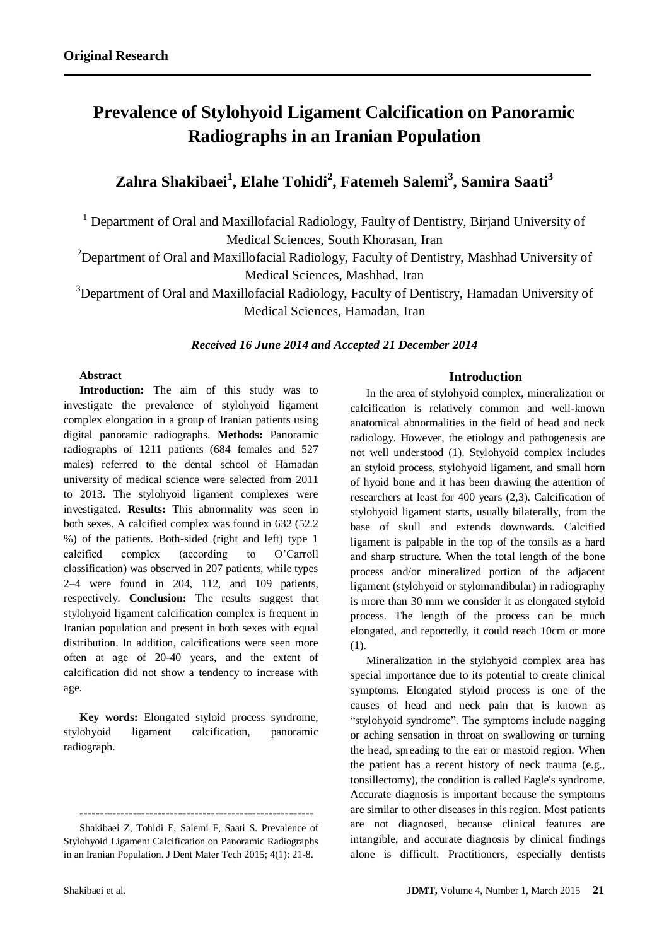# **Prevalence of Stylohyoid Ligament Calcification on Panoramic Radiographs in an Iranian Population**

# **Zahra Shakibaei<sup>1</sup> , Elahe Tohidi<sup>2</sup> , Fatemeh Salemi<sup>3</sup> , Samira Saati<sup>3</sup>**

<sup>1</sup> Department of Oral and Maxillofacial Radiology, Faulty of Dentistry, Birjand University of Medical Sciences, South Khorasan, Iran

<sup>2</sup>Department of Oral and Maxillofacial Radiology, Faculty of Dentistry, Mashhad University of Medical Sciences, Mashhad, Iran

 $3$ Department of Oral and Maxillofacial Radiology, Faculty of Dentistry, Hamadan University of Medical Sciences, Hamadan, Iran

#### *Received 16 June 2014 and Accepted 21 December 2014*

### **Abstract**

**Introduction:** The aim of this study was to investigate the prevalence of stylohyoid ligament complex elongation in a group of Iranian patients using digital panoramic radiographs. **Methods:** Panoramic radiographs of 1211 patients (684 females and 527 males) referred to the dental school of Hamadan university of medical science were selected from 2011 to 2013. The stylohyoid ligament complexes were investigated. **Results:** This abnormality was seen in both sexes. A calcified complex was found in 632 (52.2 %) of the patients. Both-sided (right and left) type 1 calcified complex (according to O'Carroll classification) was observed in 207 patients, while types 2–4 were found in 204, 112, and 109 patients, respectively. **Conclusion:** The results suggest that stylohyoid ligament calcification complex is frequent in Iranian population and present in both sexes with equal distribution. In addition, calcifications were seen more often at age of 20-40 years, and the extent of calcification did not show a tendency to increase with age.

**Key words:** Elongated styloid process syndrome, stylohyoid ligament calcification, panoramic radiograph.

**---------------------------------------------------------**

#### **Introduction**

In the area of stylohyoid complex, mineralization or calcification is relatively common and well-known anatomical abnormalities in the field of head and neck radiology. However, the etiology and pathogenesis are not well understood (1). Stylohyoid complex includes an styloid process, stylohyoid ligament, and small horn of hyoid bone and it has been drawing the attention of researchers at least for 400 years (2,3). Calcification of stylohyoid ligament starts, usually bilaterally, from the base of skull and extends downwards. Calcified ligament is palpable in the top of the tonsils as a hard and sharp structure. When the total length of the bone process and/or mineralized portion of the adjacent ligament (stylohyoid or stylomandibular) in radiography is more than 30 mm we consider it as elongated styloid process. The length of the process can be much elongated, and reportedly, it could reach 10cm or more (1).

Mineralization in the stylohyoid complex area has special importance due to its potential to create clinical symptoms. Elongated styloid process is one of the causes of head and neck pain that is known as "stylohyoid syndrome". The symptoms include nagging or aching sensation in throat on swallowing or turning the head, spreading to the ear or mastoid region. When the patient has a recent history of neck trauma (e.g., tonsillectomy), the condition is called Eagle's syndrome. Accurate diagnosis is important because the symptoms are similar to other diseases in this region. Most patients are not diagnosed, because clinical features are intangible, and accurate diagnosis by clinical findings alone is difficult. Practitioners, especially dentists

Shakibaei Z, Tohidi E, Salemi F, Saati S. Prevalence of Stylohyoid Ligament Calcification on Panoramic Radiographs in an Iranian Population. J Dent Mater Tech 2015; 4(1): 21-8.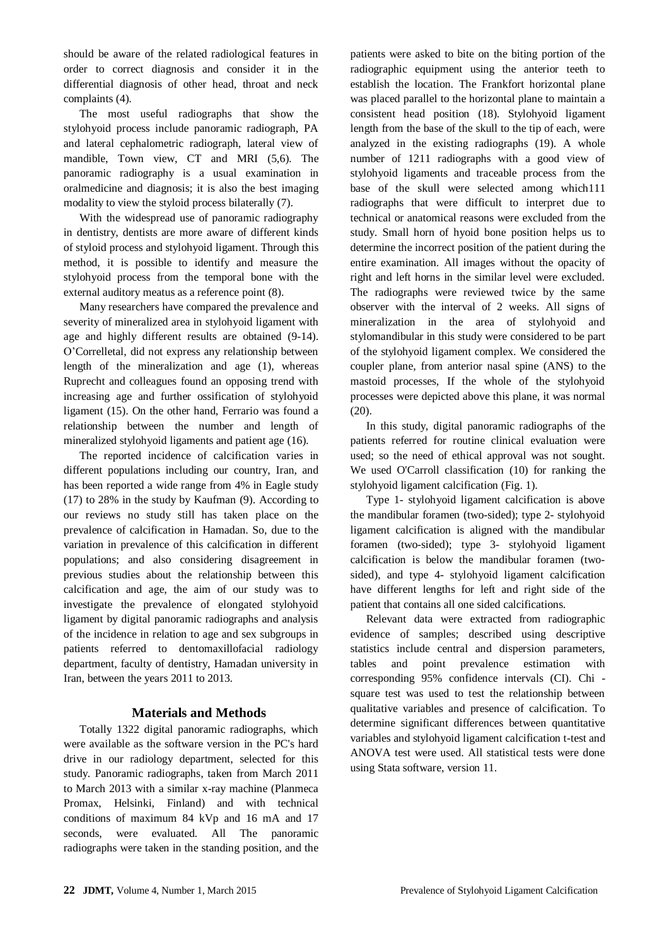should be aware of the related radiological features in order to correct diagnosis and consider it in the differential diagnosis of other head, throat and neck complaints (4).

The most useful radiographs that show the stylohyoid process include panoramic radiograph, PA and lateral cephalometric radiograph, lateral view of mandible, Town view, CT and MRI (5,6). The panoramic radiography is a usual examination in oralmedicine and diagnosis; it is also the best imaging modality to view the styloid process bilaterally (7).

With the widespread use of panoramic radiography in dentistry, dentists are more aware of different kinds of styloid process and stylohyoid ligament. Through this method, it is possible to identify and measure the stylohyoid process from the temporal bone with the external auditory meatus as a reference point (8).

Many researchers have compared the prevalence and severity of mineralized area in stylohyoid ligament with age and highly different results are obtained (9-14). O'Correlletal, did not express any relationship between length of the mineralization and age (1), whereas Ruprecht and colleagues found an opposing trend with increasing age and further ossification of stylohyoid ligament (15). On the other hand, Ferrario was found a relationship between the number and length of mineralized stylohyoid ligaments and patient age (16).

The reported incidence of calcification varies in different populations including our country, Iran, and has been reported a wide range from 4% in Eagle study (17) to 28% in the study by Kaufman (9). According to our reviews no study still has taken place on the prevalence of calcification in Hamadan. So, due to the variation in prevalence of this calcification in different populations; and also considering disagreement in previous studies about the relationship between this calcification and age, the aim of our study was to investigate the prevalence of elongated stylohyoid ligament by digital panoramic radiographs and analysis of the incidence in relation to age and sex subgroups in patients referred to dentomaxillofacial radiology department, faculty of dentistry, Hamadan university in Iran, between the years 2011 to 2013.

#### **Materials and Methods**

Totally 1322 digital panoramic radiographs, which were available as the software version in the PC's hard drive in our radiology department, selected for this study. Panoramic radiographs, taken from March 2011 to March 2013 with a similar x-ray machine (Planmeca Promax, Helsinki, Finland) and with technical conditions of maximum 84 kVp and 16 mA and 17 seconds, were evaluated. All The panoramic radiographs were taken in the standing position, and the patients were asked to bite on the biting portion of the radiographic equipment using the anterior teeth to establish the location. The Frankfort horizontal plane was placed parallel to the horizontal plane to maintain a consistent head position (18). Stylohyoid ligament length from the base of the skull to the tip of each, were analyzed in the existing radiographs (19). A whole number of 1211 radiographs with a good view of stylohyoid ligaments and traceable process from the base of the skull were selected among which111 radiographs that were difficult to interpret due to technical or anatomical reasons were excluded from the study. Small horn of hyoid bone position helps us to determine the incorrect position of the patient during the entire examination. All images without the opacity of right and left horns in the similar level were excluded. The radiographs were reviewed twice by the same observer with the interval of 2 weeks. All signs of mineralization in the area of stylohyoid and stylomandibular in this study were considered to be part of the stylohyoid ligament complex. We considered the coupler plane, from anterior nasal spine (ANS) to the mastoid processes, If the whole of the stylohyoid processes were depicted above this plane, it was normal  $(20)$ .

In this study, digital panoramic radiographs of the patients referred for routine clinical evaluation were used; so the need of ethical approval was not sought. We used O'Carroll classification (10) for ranking the stylohyoid ligament calcification (Fig. 1).

Type 1- stylohyoid ligament calcification is above the mandibular foramen (two-sided); type 2- stylohyoid ligament calcification is aligned with the mandibular foramen (two-sided); type 3- stylohyoid ligament calcification is below the mandibular foramen (twosided), and type 4- stylohyoid ligament calcification have different lengths for left and right side of the patient that contains all one sided calcifications.

Relevant data were extracted from radiographic evidence of samples; described using descriptive statistics include central and dispersion parameters, tables and point prevalence estimation with corresponding 95% confidence intervals (CI). Chi square test was used to test the relationship between qualitative variables and presence of calcification. To determine significant differences between quantitative variables and stylohyoid ligament calcification t-test and ANOVA test were used. All statistical tests were done using Stata software, version 11.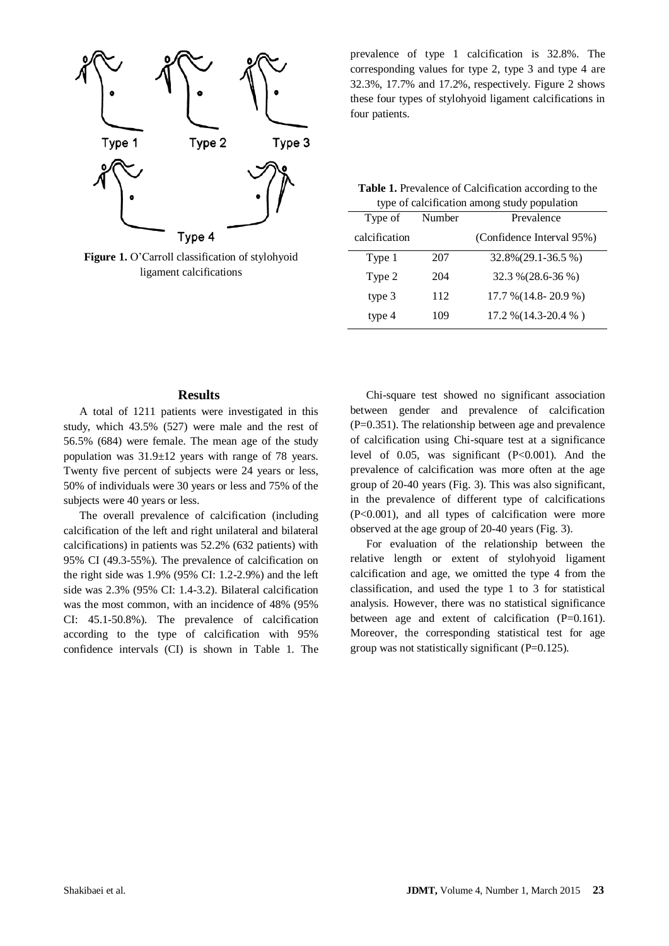

**Figure 1.** O'Carroll classification of stylohyoid ligament calcifications

prevalence of type 1 calcification is 32.8%. The corresponding values for type 2, type 3 and type 4 are 32.3%, 17.7% and 17.2%, respectively. Figure 2 shows these four types of stylohyoid ligament calcifications in four patients.

| <b>Table 1.</b> Prevalence of Calcification according to the |
|--------------------------------------------------------------|
| type of calcification among study population                 |

| Type of       | Number | Prevalence                |
|---------------|--------|---------------------------|
| calcification |        | (Confidence Interval 95%) |
| Type 1        | 207    | 32.8%(29.1-36.5 %)        |
| Type 2        | 204    | 32.3 % (28.6-36 %)        |
| type 3        | 112    | $17.7\%$ (14.8-20.9 %)    |
| type 4        | 109    | 17.2 % (14.3-20.4 %)      |
|               |        |                           |

#### **Results**

A total of 1211 patients were investigated in this study, which 43.5% (527) were male and the rest of 56.5% (684) were female. The mean age of the study population was 31.9±12 years with range of 78 years. Twenty five percent of subjects were 24 years or less, 50% of individuals were 30 years or less and 75% of the subjects were 40 years or less.

The overall prevalence of calcification (including calcification of the left and right unilateral and bilateral calcifications) in patients was 52.2% (632 patients) with 95% CI (49.3-55%). The prevalence of calcification on the right side was 1.9% (95% CI: 1.2-2.9%) and the left side was 2.3% (95% CI: 1.4-3.2). Bilateral calcification was the most common, with an incidence of 48% (95% CI: 45.1-50.8%). The prevalence of calcification according to the type of calcification with 95% confidence intervals (CI) is shown in Table 1. The

Chi-square test showed no significant association between gender and prevalence of calcification  $(P=0.351)$ . The relationship between age and prevalence of calcification using Chi-square test at a significance level of 0.05, was significant (P<0.001). And the prevalence of calcification was more often at the age group of 20-40 years (Fig. 3). This was also significant, in the prevalence of different type of calcifications (P<0.001), and all types of calcification were more observed at the age group of 20-40 years (Fig. 3).

For evaluation of the relationship between the relative length or extent of stylohyoid ligament calcification and age, we omitted the type 4 from the classification, and used the type 1 to 3 for statistical analysis. However, there was no statistical significance between age and extent of calcification (P=0.161). Moreover, the corresponding statistical test for age group was not statistically significant (P=0.125).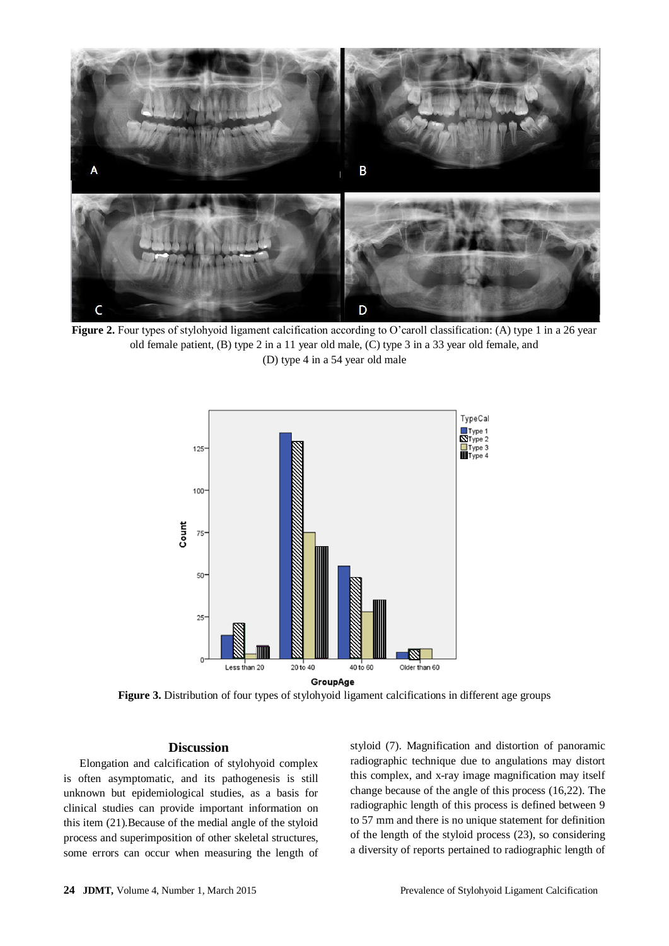

**Figure 2.** Four types of stylohyoid ligament calcification according to O'caroll classification: (A) type 1 in a 26 year old female patient, (B) type 2 in a 11 year old male, (C) type 3 in a 33 year old female, and (D) type 4 in a 54 year old male



**Figure 3.** Distribution of four types of stylohyoid ligament calcifications in different age groups

#### **Discussion**

Elongation and calcification of stylohyoid complex is often asymptomatic, and its pathogenesis is still unknown but epidemiological studies, as a basis for clinical studies can provide important information on this item (21).Because of the medial angle of the styloid process and superimposition of other skeletal structures, some errors can occur when measuring the length of styloid (7). Magnification and distortion of panoramic radiographic technique due to angulations may distort this complex, and x-ray image magnification may itself change because of the angle of this process (16,22). The radiographic length of this process is defined between 9 to 57 mm and there is no unique statement for definition of the length of the styloid process (23), so considering a diversity of reports pertained to radiographic length of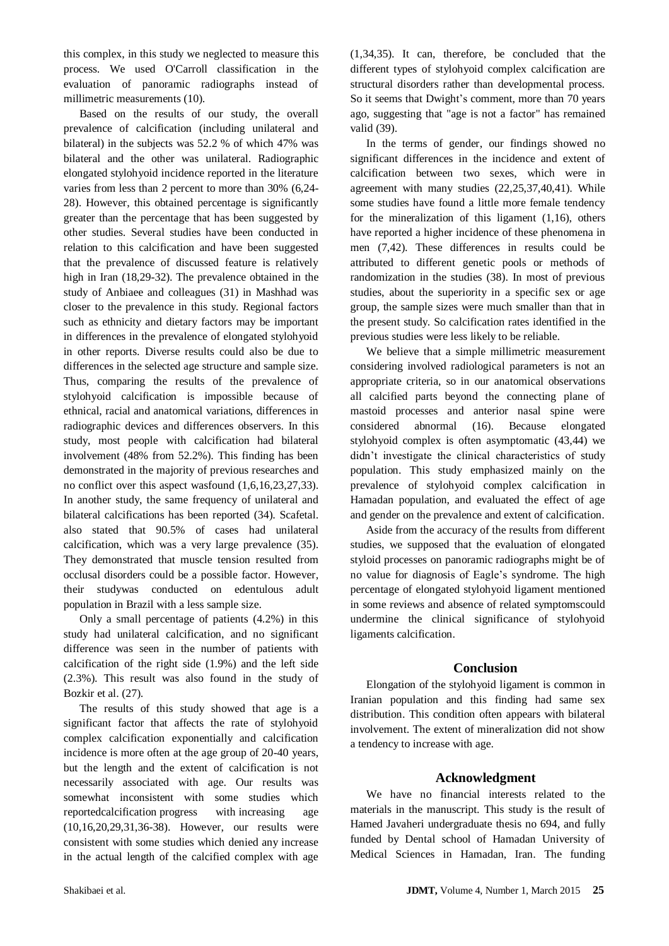this complex, in this study we neglected to measure this process. We used O'Carroll classification in the evaluation of panoramic radiographs instead of millimetric measurements (10).

Based on the results of our study, the overall prevalence of calcification (including unilateral and bilateral) in the subjects was 52.2 % of which 47% was bilateral and the other was unilateral. Radiographic elongated stylohyoid incidence reported in the literature varies from less than 2 percent to more than 30% (6,24- 28). However, this obtained percentage is significantly greater than the percentage that has been suggested by other studies. Several studies have been conducted in relation to this calcification and have been suggested that the prevalence of discussed feature is relatively high in Iran (18,29-32). The prevalence obtained in the study of Anbiaee and colleagues (31) in Mashhad was closer to the prevalence in this study. Regional factors such as ethnicity and dietary factors may be important in differences in the prevalence of elongated stylohyoid in other reports. Diverse results could also be due to differences in the selected age structure and sample size. Thus, comparing the results of the prevalence of stylohyoid calcification is impossible because of ethnical, racial and anatomical variations, differences in radiographic devices and differences observers. In this study, most people with calcification had bilateral involvement (48% from 52.2%). This finding has been demonstrated in the majority of previous researches and no conflict over this aspect wasfound (1,6,16,23,27,33). In another study, the same frequency of unilateral and bilateral calcifications has been reported (34). Scafetal. also stated that 90.5% of cases had unilateral calcification, which was a very large prevalence (35). They demonstrated that muscle tension resulted from occlusal disorders could be a possible factor. However, their studywas conducted on edentulous adult population in Brazil with a less sample size.

Only a small percentage of patients (4.2%) in this study had unilateral calcification, and no significant difference was seen in the number of patients with calcification of the right side (1.9%) and the left side (2.3%). This result was also found in the study of Bozkir et al. (27).

The results of this study showed that age is a significant factor that affects the rate of stylohyoid complex calcification exponentially and calcification incidence is more often at the age group of 20-40 years, but the length and the extent of calcification is not necessarily associated with age. Our results was somewhat inconsistent with some studies which reportedcalcification progress with increasing age (10,16,20,29,31,36-38). However, our results were consistent with some studies which denied any increase in the actual length of the calcified complex with age

(1,34,35). It can, therefore, be concluded that the different types of stylohyoid complex calcification are structural disorders rather than developmental process. So it seems that Dwight's comment, more than 70 years ago, suggesting that "age is not a factor" has remained valid (39).

In the terms of gender, our findings showed no significant differences in the incidence and extent of calcification between two sexes, which were in agreement with many studies (22,25,37,40,41). While some studies have found a little more female tendency for the mineralization of this ligament (1,16), others have reported a higher incidence of these phenomena in men (7,42). These differences in results could be attributed to different genetic pools or methods of randomization in the studies (38). In most of previous studies, about the superiority in a specific sex or age group, the sample sizes were much smaller than that in the present study. So calcification rates identified in the previous studies were less likely to be reliable.

We believe that a simple millimetric measurement considering involved radiological parameters is not an appropriate criteria, so in our anatomical observations all calcified parts beyond the connecting plane of mastoid processes and anterior nasal spine were considered abnormal (16). Because elongated stylohyoid complex is often asymptomatic (43,44) we didn't investigate the clinical characteristics of study population. This study emphasized mainly on the prevalence of stylohyoid complex calcification in Hamadan population, and evaluated the effect of age and gender on the prevalence and extent of calcification.

Aside from the accuracy of the results from different studies, we supposed that the evaluation of elongated styloid processes on panoramic radiographs might be of no value for diagnosis of Eagle's syndrome. The high percentage of elongated stylohyoid ligament mentioned in some reviews and absence of related symptomscould undermine the clinical significance of stylohyoid ligaments calcification.

# **Conclusion**

Elongation of the stylohyoid ligament is common in Iranian population and this finding had same sex distribution. This condition often appears with bilateral involvement. The extent of mineralization did not show a tendency to increase with age.

# **Acknowledgment**

We have no financial interests related to the materials in the manuscript. This study is the result of Hamed Javaheri undergraduate thesis no 694, and fully funded by Dental school of Hamadan University of Medical Sciences in Hamadan, Iran. The funding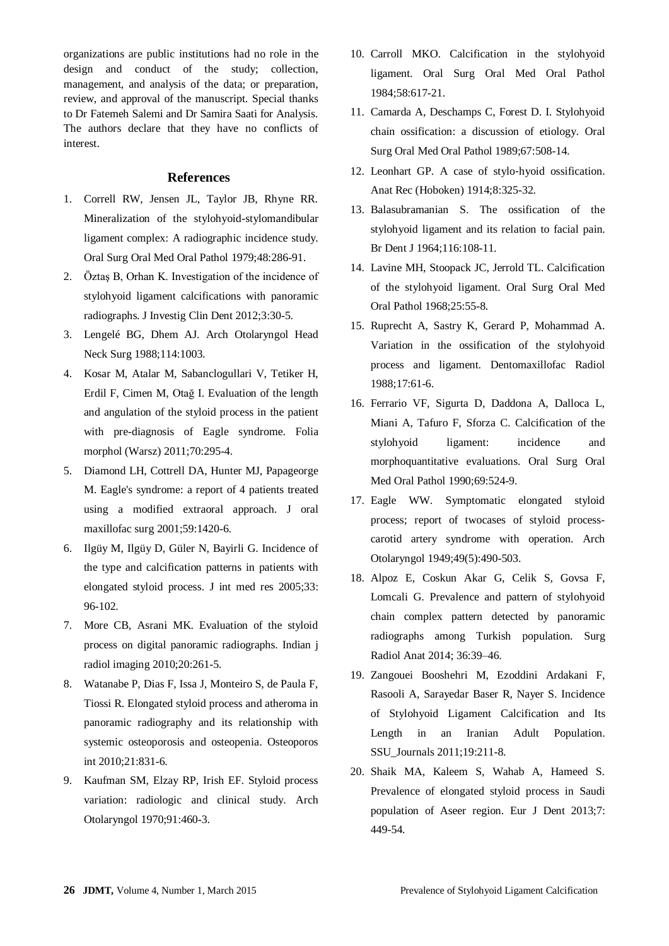organizations are public institutions had no role in the design and conduct of the study; collection, management, and analysis of the data; or preparation, review, and approval of the manuscript. Special thanks to Dr Fatemeh Salemi and Dr Samira Saati for Analysis. The authors declare that they have no conflicts of interest.

#### **References**

- 1. Correll RW, Jensen JL, Taylor JB, Rhyne RR. Mineralization of the stylohyoid-stylomandibular ligament complex: A radiographic incidence study. Oral Surg Oral Med Oral Pathol 1979;48:286-91.
- 2. Öztaş B, Orhan K. Investigation of the incidence of stylohyoid ligament calcifications with panoramic radiographs. J Investig Clin Dent 2012;3:30-5.
- 3. Lengelé BG, Dhem AJ. Arch Otolaryngol Head Neck Surg 1988;114:1003.
- 4. Kosar M, Atalar M, Sabanclogullari V, Tetiker H, Erdil F, Cimen M, [Otağ I.](http://www.ncbi.nlm.nih.gov/pubmed/?term=Ota%C4%9F%20I%5BAuthor%5D&cauthor=true&cauthor_uid=22117249) Evaluation of the length and angulation of the styloid process in the patient with pre-diagnosis of Eagle syndrome. Folia morphol (Warsz) 2011;70:295-4.
- 5. Diamond LH, Cottrell DA, Hunter MJ, Papageorge M. Eagle's syndrome: a report of 4 patients treated using a modified extraoral approach. J oral maxillofac surg 2001;59:1420-6.
- 6. Ilgüy M, Ilgüy D, Güler N, Bayirli G. Incidence of the type and calcification patterns in patients with elongated styloid process. J int med res 2005;33: 96-102.
- 7. More CB, Asrani MK. Evaluation of the styloid process on digital panoramic radiographs. Indian j radiol imaging 2010;20:261-5.
- 8. Watanabe P, Dias F, Issa J, Monteiro S, de Paula F, Tiossi R. Elongated styloid process and atheroma in panoramic radiography and its relationship with systemic osteoporosis and osteopenia. Osteoporos int 2010;21:831-6.
- 9. Kaufman SM, Elzay RP, Irish EF. Styloid process variation: radiologic and clinical study. Arch Otolaryngol 1970;91:460-3.
- 10. Carroll MKO. Calcification in the stylohyoid ligament. Oral Surg Oral Med Oral Pathol 1984;58:617-21.
- 11. Camarda A, Deschamps C, Forest D. I. Stylohyoid chain ossification: a discussion of etiology. Oral Surg Oral Med Oral Pathol 1989;67:508-14.
- 12. Leonhart GP. A case of stylo‐hyoid ossification. Anat Rec (Hoboken) 1914;8:325-32.
- 13. Balasubramanian S. The ossification of the stylohyoid ligament and its relation to facial pain. Br Dent J 1964;116:108-11.
- 14. Lavine MH, Stoopack JC, Jerrold TL. Calcification of the stylohyoid ligament. Oral Surg Oral Med Oral Pathol 1968;25:55-8.
- 15. Ruprecht A, Sastry K, Gerard P, Mohammad A. Variation in the ossification of the stylohyoid process and ligament. Dentomaxillofac Radiol 1988;17:61-6.
- 16. Ferrario VF, Sigurta D, Daddona A, Dalloca L, Miani A, Tafuro F, Sforza C. Calcification of the stylohyoid ligament: incidence and morphoquantitative evaluations. Oral Surg Oral Med Oral Pathol 1990;69:524-9.
- 17. Eagle WW. Symptomatic elongated styloid process; report of twocases of styloid processcarotid artery syndrome with operation. Arch Otolaryngol 1949;49(5):490-503.
- 18. Alpoz E, Coskun Akar G, Celik S, Govsa F, Lomcali G. Prevalence and pattern of stylohyoid chain complex pattern detected by panoramic radiographs among Turkish population. Surg Radiol Anat 2014; 36:39–46.
- 19. Zangouei Booshehri M, Ezoddini Ardakani F, Rasooli A, Sarayedar Baser R, Nayer S. Incidence of Stylohyoid Ligament Calcification and Its Length in an Iranian Adult Population. SSU\_Journals 2011;19:211-8.
- 20. Shaik MA, Kaleem S, Wahab A, Hameed S. Prevalence of elongated styloid process in Saudi population of Aseer region. Eur J Dent 2013;7: 449-54.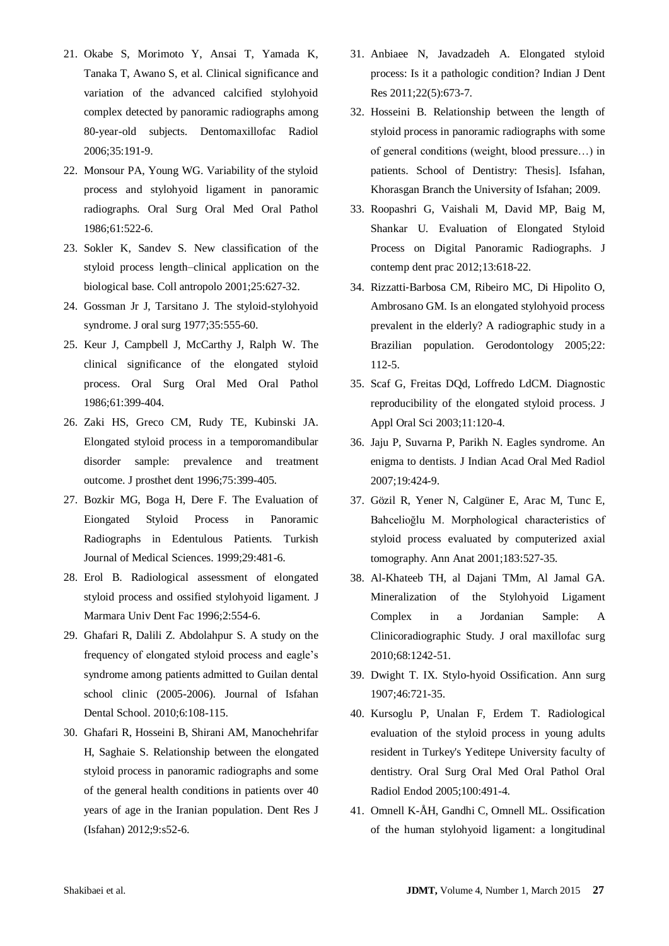- 21. Okabe S, Morimoto Y, Ansai T, Yamada K, Tanaka T, Awano S, et al. Clinical significance and variation of the advanced calcified stylohyoid complex detected by panoramic radiographs among 80-year-old subjects. Dentomaxillofac Radiol 2006;35:191-9.
- 22. Monsour PA, Young WG. Variability of the styloid process and stylohyoid ligament in panoramic radiographs. Oral Surg Oral Med Oral Pathol 1986;61:522-6.
- 23. Sokler K, Sandev S. New classification of the styloid process length–clinical application on the biological base. Coll antropolo 2001;25:627-32.
- 24. Gossman Jr J, Tarsitano J. The styloid-stylohyoid syndrome. J oral surg 1977;35:555-60.
- 25. Keur J, Campbell J, McCarthy J, Ralph W. The clinical significance of the elongated styloid process. Oral Surg Oral Med Oral Pathol 1986;61:399-404.
- 26. Zaki HS, Greco CM, Rudy TE, Kubinski JA. Elongated styloid process in a temporomandibular disorder sample: prevalence and treatment outcome. J prosthet dent 1996;75:399-405.
- 27. Bozkir MG, Boga H, Dere F. The Evaluation of Eiongated Styloid Process in Panoramic Radiographs in Edentulous Patients. Turkish Journal of Medical Sciences. 1999;29:481-6.
- 28. Erol B. Radiological assessment of elongated styloid process and ossified stylohyoid ligament. J Marmara Univ Dent Fac 1996;2:554-6.
- 29. Ghafari R, Dalili Z. Abdolahpur S. A study on the frequency of elongated styloid process and eagle's syndrome among patients admitted to Guilan dental school clinic (2005-2006). Journal of Isfahan Dental School. 2010;6:108-115.
- 30. Ghafari R, Hosseini B, Shirani AM, Manochehrifar H, Saghaie S. Relationship between the elongated styloid process in panoramic radiographs and some of the general health conditions in patients over 40 years of age in the Iranian population. Dent Res J (Isfahan) 2012;9:s52-6.
- 31. Anbiaee N, Javadzadeh A. Elongated styloid process: Is it a pathologic condition? Indian J Dent Res 2011;22(5):673-7.
- 32. Hosseini B. Relationship between the length of styloid process in panoramic radiographs with some of general conditions (weight, blood pressure…) in patients. School of Dentistry: Thesis]. Isfahan, Khorasgan Branch the University of Isfahan; 2009.
- 33. Roopashri G, Vaishali M, David MP, Baig M, Shankar U. Evaluation of Elongated Styloid Process on Digital Panoramic Radiographs. J contemp dent prac 2012;13:618-22.
- 34. Rizzatti‐Barbosa CM, Ribeiro MC, Di Hipolito O, Ambrosano GM. Is an elongated stylohyoid process prevalent in the elderly? A radiographic study in a Brazilian population. Gerodontology 2005;22: 112-5.
- 35. Scaf G, Freitas DQd, Loffredo LdCM. Diagnostic reproducibility of the elongated styloid process. J Appl Oral Sci 2003;11:120-4.
- 36. Jaju P, Suvarna P, Parikh N. Eagles syndrome. An enigma to dentists. J Indian Acad Oral Med Radiol 2007;19:424-9.
- 37. Gözil R, Yener N, Calgüner E, Arac M, Tunc E, Bahcelioğlu M. Morphological characteristics of styloid process evaluated by computerized axial tomography. Ann Anat 2001;183:527-35.
- 38. Al-Khateeb TH, al Dajani TMm, Al Jamal GA. Mineralization of the Stylohyoid Ligament Complex in a Jordanian Sample: A Clinicoradiographic Study. J oral maxillofac surg 2010;68:1242-51.
- 39. Dwight T. IX. Stylo-hyoid Ossification. Ann surg 1907;46:721-35.
- 40. Kursoglu P, Unalan F, Erdem T. Radiological evaluation of the styloid process in young adults resident in Turkey's Yeditepe University faculty of dentistry. Oral Surg Oral Med Oral Pathol Oral Radiol Endod 2005;100:491-4.
- 41. Omnell K-ÅH, Gandhi C, Omnell ML. Ossification of the human stylohyoid ligament: a longitudinal